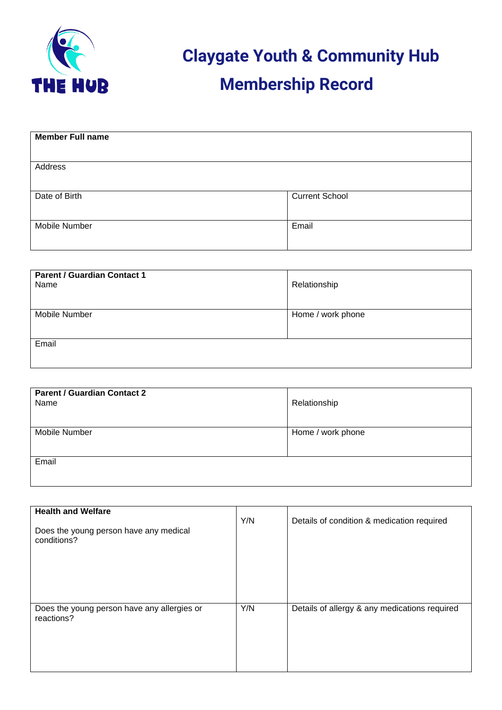

 **Claygate Youth & Community Hub Membership Record**

| <b>Member Full name</b> |                       |
|-------------------------|-----------------------|
| Address                 |                       |
| Date of Birth           | <b>Current School</b> |
| Mobile Number           | Email                 |

| <b>Parent / Guardian Contact 1</b><br>Name | Relationship      |
|--------------------------------------------|-------------------|
| <b>Mobile Number</b>                       | Home / work phone |
| Email                                      |                   |

| <b>Parent / Guardian Contact 2</b><br>Name | Relationship      |
|--------------------------------------------|-------------------|
| <b>Mobile Number</b>                       | Home / work phone |
|                                            |                   |
| Email                                      |                   |
|                                            |                   |

| <b>Health and Welfare</b><br>Does the young person have any medical<br>conditions? | Y/N | Details of condition & medication required    |
|------------------------------------------------------------------------------------|-----|-----------------------------------------------|
| Does the young person have any allergies or<br>reactions?                          | Y/N | Details of allergy & any medications required |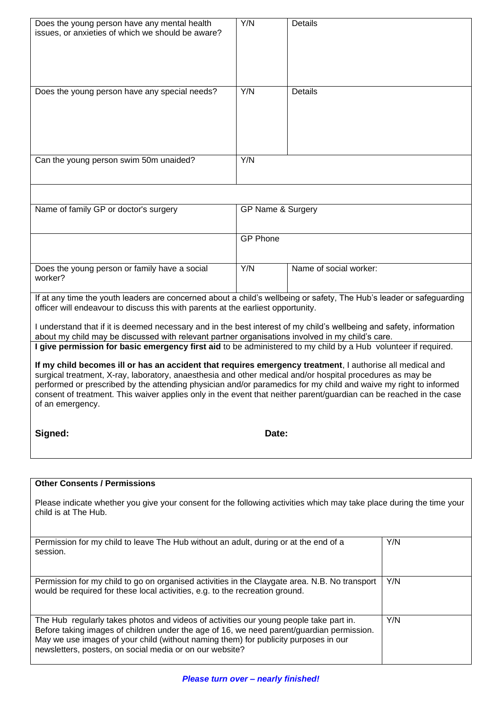| Does the young person have any mental health<br>issues, or anxieties of which we should be aware?                                                                                                                                                                                                                                                                                                                                                                                     | Y/N               | <b>Details</b>         |     |
|---------------------------------------------------------------------------------------------------------------------------------------------------------------------------------------------------------------------------------------------------------------------------------------------------------------------------------------------------------------------------------------------------------------------------------------------------------------------------------------|-------------------|------------------------|-----|
| Does the young person have any special needs?                                                                                                                                                                                                                                                                                                                                                                                                                                         | Y/N               | <b>Details</b>         |     |
| Can the young person swim 50m unaided?                                                                                                                                                                                                                                                                                                                                                                                                                                                | Y/N               |                        |     |
|                                                                                                                                                                                                                                                                                                                                                                                                                                                                                       |                   |                        |     |
| Name of family GP or doctor's surgery                                                                                                                                                                                                                                                                                                                                                                                                                                                 | GP Name & Surgery |                        |     |
|                                                                                                                                                                                                                                                                                                                                                                                                                                                                                       | <b>GP Phone</b>   |                        |     |
| Does the young person or family have a social<br>worker?                                                                                                                                                                                                                                                                                                                                                                                                                              | Y/N               | Name of social worker: |     |
| If at any time the youth leaders are concerned about a child's wellbeing or safety, The Hub's leader or safeguarding<br>officer will endeavour to discuss this with parents at the earliest opportunity.                                                                                                                                                                                                                                                                              |                   |                        |     |
| I understand that if it is deemed necessary and in the best interest of my child's wellbeing and safety, information                                                                                                                                                                                                                                                                                                                                                                  |                   |                        |     |
| about my child may be discussed with relevant partner organisations involved in my child's care.<br>I give permission for basic emergency first aid to be administered to my child by a Hub volunteer if required.                                                                                                                                                                                                                                                                    |                   |                        |     |
| If my child becomes ill or has an accident that requires emergency treatment, I authorise all medical and<br>surgical treatment, X-ray, laboratory, anaesthesia and other medical and/or hospital procedures as may be<br>performed or prescribed by the attending physician and/or paramedics for my child and waive my right to informed<br>consent of treatment. This waiver applies only in the event that neither parent/guardian can be reached in the case<br>of an emergency. |                   |                        |     |
| Signed:                                                                                                                                                                                                                                                                                                                                                                                                                                                                               | Date:             |                        |     |
|                                                                                                                                                                                                                                                                                                                                                                                                                                                                                       |                   |                        |     |
| <b>Other Consents / Permissions</b>                                                                                                                                                                                                                                                                                                                                                                                                                                                   |                   |                        |     |
| Please indicate whether you give your consent for the following activities which may take place during the time your<br>child is at The Hub.                                                                                                                                                                                                                                                                                                                                          |                   |                        |     |
| Permission for my child to leave The Hub without an adult, during or at the end of a<br>session.                                                                                                                                                                                                                                                                                                                                                                                      |                   |                        | Y/N |
| Permission for my child to go on organised activities in the Claygate area. N.B. No transport<br>Y/N<br>would be required for these local activities, e.g. to the recreation ground.                                                                                                                                                                                                                                                                                                  |                   |                        |     |
| The Hub regularly takes photos and videos of activities our young people take part in.<br>Before taking images of children under the age of 16, we need parent/guardian permission.<br>May we use images of your child (without naming them) for publicity purposes in our<br>newsletters, posters, on social media or on our website?                                                                                                                                                |                   |                        | Y/N |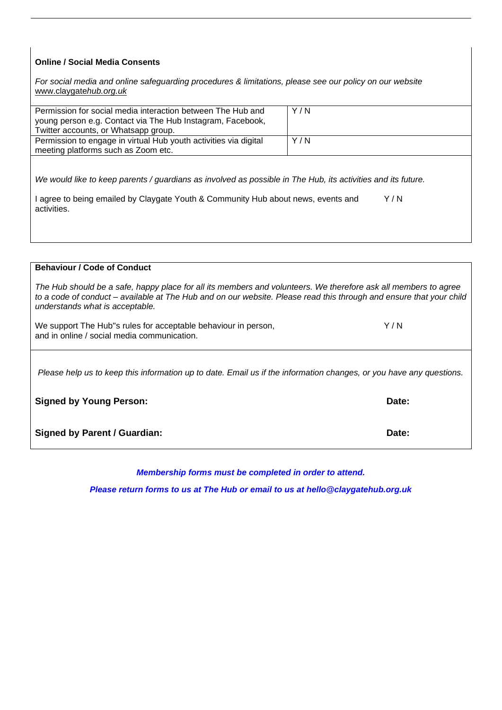## **Online / Social Media Consents**

*For social media and online safeguarding procedures & limitations, please see our policy on our website*  [www.claygate](http://www.claygateyouthclub.co.uk/)*hub.org.uk*

| Permission for social media interaction between The Hub and<br>young person e.g. Contact via The Hub Instagram, Facebook, | Y/N |
|---------------------------------------------------------------------------------------------------------------------------|-----|
| Twitter accounts, or Whatsapp group.                                                                                      |     |
| Permission to engage in virtual Hub youth activities via digital                                                          | Y/N |
| meeting platforms such as Zoom etc.                                                                                       |     |

*We would like to keep parents / guardians as involved as possible in The Hub, its activities and its future.*

| I agree to being emailed by Claygate Youth & Community Hub about news, events and | Y/N |
|-----------------------------------------------------------------------------------|-----|
| activities.                                                                       |     |

**Behaviour / Code of Conduct**

| The Hub should be a safe, happy place for all its members and volunteers. We therefore ask all members to agree<br>to a code of conduct – available at The Hub and on our website. Please read this through and ensure that your child<br>understands what is acceptable. |       |
|---------------------------------------------------------------------------------------------------------------------------------------------------------------------------------------------------------------------------------------------------------------------------|-------|
| We support The Hub"s rules for acceptable behaviour in person,<br>and in online / social media communication.                                                                                                                                                             | Y/N   |
| Please help us to keep this information up to date. Email us if the information changes, or you have any questions.                                                                                                                                                       |       |
| <b>Signed by Young Person:</b>                                                                                                                                                                                                                                            | Date: |

**Signed by Parent / Guardian: Date: Date: Date: Date: Date: Date: Date: Date: Date: Date: Date: Date: Date: Date: Date: Date: Date: Date: Date: Date: Date: Date: Date: Date:** 

*Membership forms must be completed in order to attend.* 

*Please return forms to us at The Hub or email to us at hello@claygatehub.org.uk*